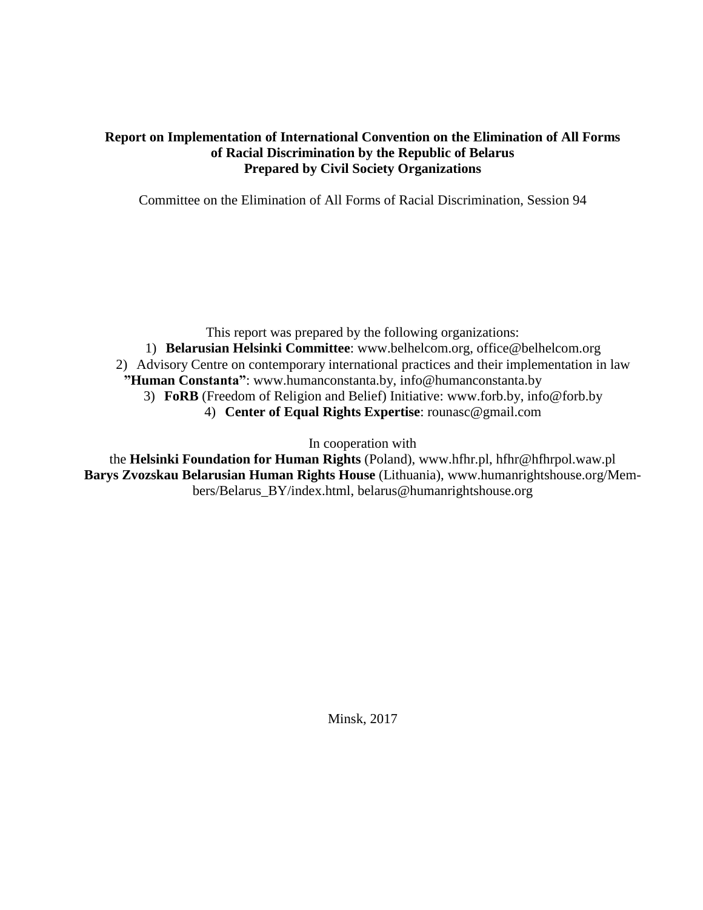#### **Report on Implementation of International Convention on the Elimination of All Forms of Racial Discrimination by the Republic of Belarus Prepared by Civil Society Organizations**

Committee on the Elimination of All Forms of Racial Discrimination, Session 94

This report was prepared by the following organizations: 1) **Belarusian Helsinki Committee**: [www.belhelcom.org,](http://www.belhelcom.org/) [office@belhelcom.org](mailto:office@belhelcom.org) 2) Advisory Centre on contemporary international practices and their implementation in law **"Human Constanta"**: www.humanconstanta.by, info[@humanconstanta.by](mailto:humanconstanta@gmail.com) 3) **FoRB** (Freedom of Religion and Belief) Initiative: www[.forb.by,](http://forb.by/) [info@forb.by](mailto:info@forb.by) 4) **Center of Equal Rights Expertise**: [rounasc@gmail.com](mailto:rounasc@gmail.com)

In cooperation with

the **Helsinki Foundation for Human Rights** (Poland), [www.hfhr.pl,](http://www.hfhr.pl/) hfhr@hfhrpol.waw.pl **Barys Zvozskau Belarusian Human Rights House** (Lithuania), [www.humanrightshouse.org/Mem](http://humanrightshouse.org/Members/Belarus_BY/index.html)[bers/Belarus\\_BY/index.html,](http://humanrightshouse.org/Members/Belarus_BY/index.html) belarus@humanrightshouse.org

Minsk, 2017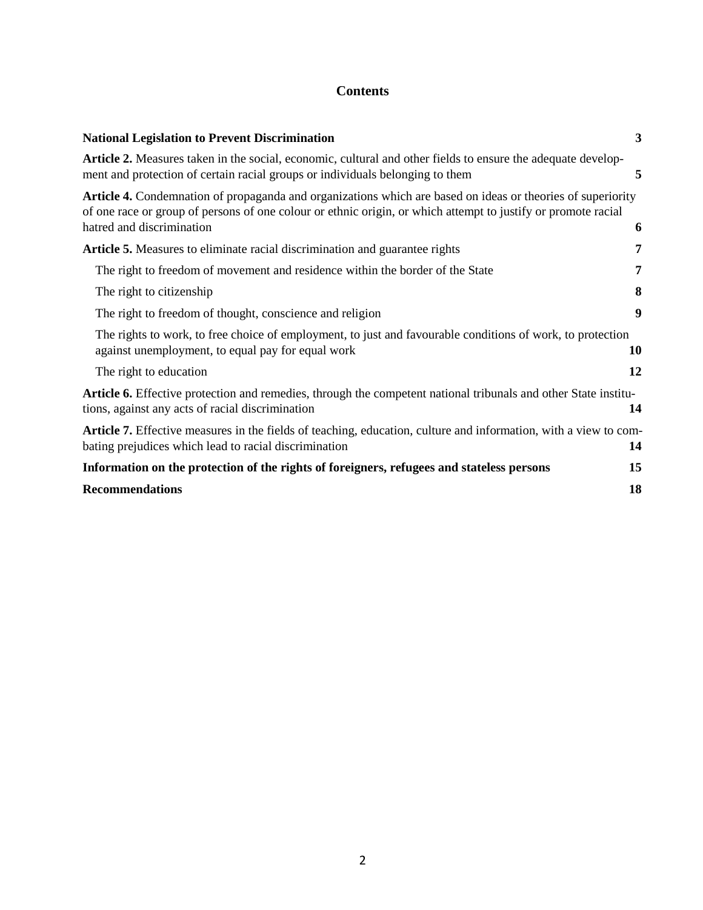# **Contents**

| <b>National Legislation to Prevent Discrimination</b>                                                                                                                                                                                                     | $\mathbf{3}$ |
|-----------------------------------------------------------------------------------------------------------------------------------------------------------------------------------------------------------------------------------------------------------|--------------|
| Article 2. Measures taken in the social, economic, cultural and other fields to ensure the adequate develop-<br>ment and protection of certain racial groups or individuals belonging to them                                                             | 5            |
| Article 4. Condemnation of propaganda and organizations which are based on ideas or theories of superiority<br>of one race or group of persons of one colour or ethnic origin, or which attempt to justify or promote racial<br>hatred and discrimination | 6            |
| <b>Article 5.</b> Measures to eliminate racial discrimination and guarantee rights                                                                                                                                                                        | 7            |
| The right to freedom of movement and residence within the border of the State                                                                                                                                                                             | 7            |
| The right to citizenship                                                                                                                                                                                                                                  | 8            |
| The right to freedom of thought, conscience and religion                                                                                                                                                                                                  | 9            |
| The rights to work, to free choice of employment, to just and favourable conditions of work, to protection<br>against unemployment, to equal pay for equal work                                                                                           | 10           |
| The right to education                                                                                                                                                                                                                                    | 12           |
| <b>Article 6.</b> Effective protection and remedies, through the competent national tribunals and other State institu-<br>tions, against any acts of racial discrimination                                                                                | 14           |
| Article 7. Effective measures in the fields of teaching, education, culture and information, with a view to com-<br>bating prejudices which lead to racial discrimination                                                                                 | 14           |
| Information on the protection of the rights of foreigners, refugees and stateless persons                                                                                                                                                                 | 15           |
| <b>Recommendations</b>                                                                                                                                                                                                                                    | 18           |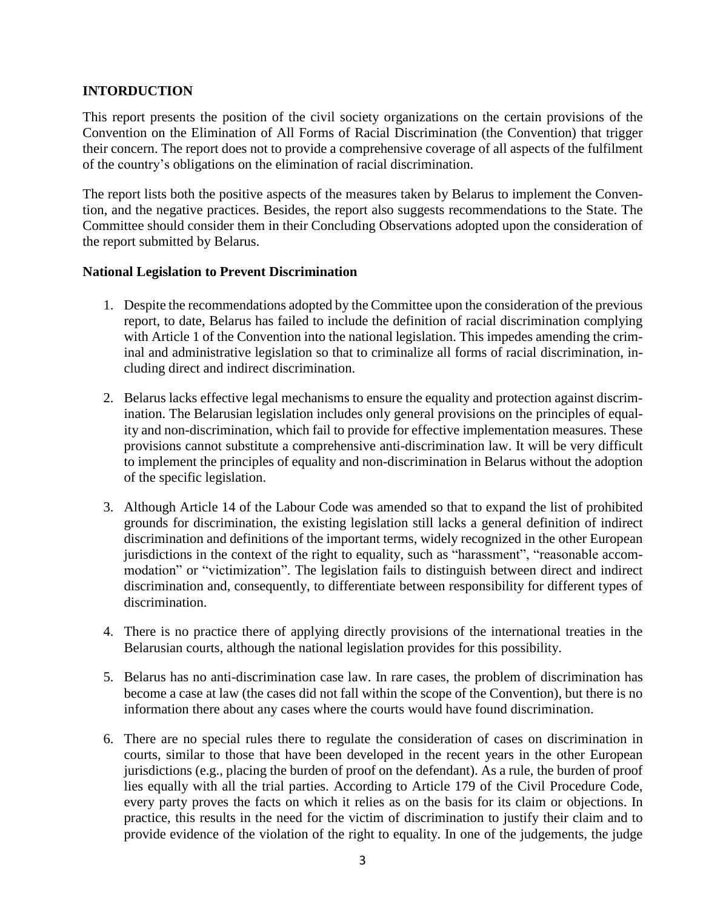### **INTORDUCTION**

This report presents the position of the civil society organizations on the certain provisions of the Convention on the Elimination of All Forms of Racial Discrimination (the Convention) that trigger their concern. The report does not to provide a comprehensive coverage of all aspects of the fulfilment of the country's obligations on the elimination of racial discrimination.

The report lists both the positive aspects of the measures taken by Belarus to implement the Convention, and the negative practices. Besides, the report also suggests recommendations to the State. The Committee should consider them in their Concluding Observations adopted upon the consideration of the report submitted by Belarus.

#### **National Legislation to Prevent Discrimination**

- 1. Despite the recommendations adopted by the Committee upon the consideration of the previous report, to date, Belarus has failed to include the definition of racial discrimination complying with Article 1 of the Convention into the national legislation. This impedes amending the criminal and administrative legislation so that to criminalize all forms of racial discrimination, including direct and indirect discrimination.
- 2. Belarus lacks effective legal mechanisms to ensure the equality and protection against discrimination. The Belarusian legislation includes only general provisions on the principles of equality and non-discrimination, which fail to provide for effective implementation measures. These provisions cannot substitute a comprehensive anti-discrimination law. It will be very difficult to implement the principles of equality and non-discrimination in Belarus without the adoption of the specific legislation.
- 3. Although Article 14 of the Labour Code was amended so that to expand the list of prohibited grounds for discrimination, the existing legislation still lacks a general definition of indirect discrimination and definitions of the important terms, widely recognized in the other European jurisdictions in the context of the right to equality, such as "harassment", "reasonable accommodation" or "victimization". The legislation fails to distinguish between direct and indirect discrimination and, consequently, to differentiate between responsibility for different types of discrimination.
- 4. There is no practice there of applying directly provisions of the international treaties in the Belarusian courts, although the national legislation provides for this possibility.
- 5. Belarus has no anti-discrimination case law. In rare cases, the problem of discrimination has become a case at law (the cases did not fall within the scope of the Convention), but there is no information there about any cases where the courts would have found discrimination.
- 6. There are no special rules there to regulate the consideration of cases on discrimination in courts, similar to those that have been developed in the recent years in the other European jurisdictions (e.g., placing the burden of proof on the defendant). As a rule, the burden of proof lies equally with all the trial parties. According to Article 179 of the Civil Procedure Code, every party proves the facts on which it relies as on the basis for its claim or objections. In practice, this results in the need for the victim of discrimination to justify their claim and to provide evidence of the violation of the right to equality. In one of the judgements, the judge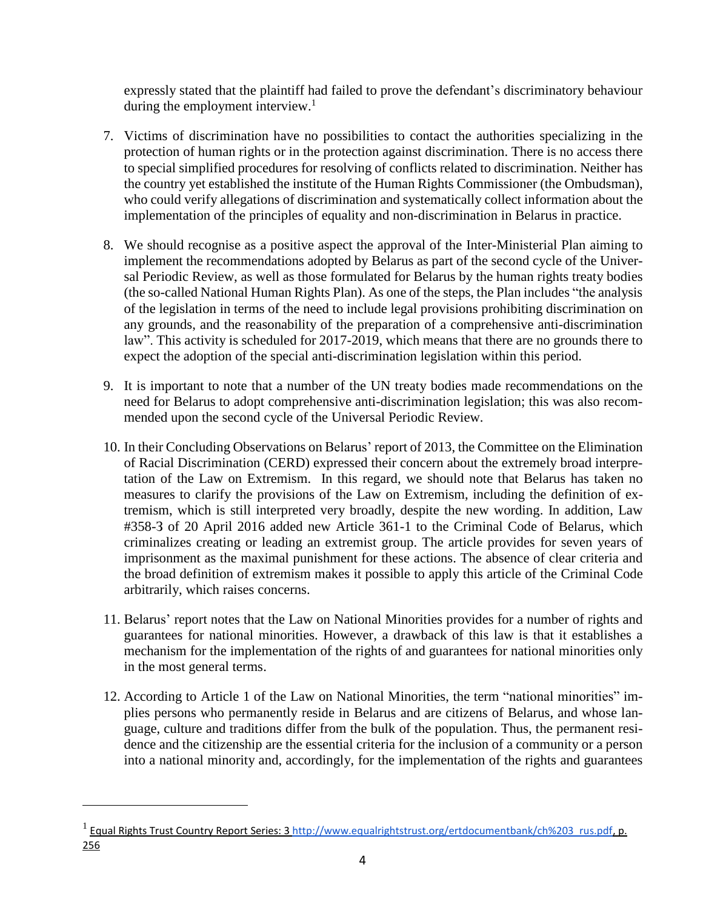expressly stated that the plaintiff had failed to prove the defendant's discriminatory behaviour during the employment interview. $\frac{1}{1}$ 

- 7. Victims of discrimination have no possibilities to contact the authorities specializing in the protection of human rights or in the protection against discrimination. There is no access there to special simplified procedures for resolving of conflicts related to discrimination. Neither has the country yet established the institute of the Human Rights Commissioner (the Ombudsman), who could verify allegations of discrimination and systematically collect information about the implementation of the principles of equality and non-discrimination in Belarus in practice.
- 8. We should recognise as a positive aspect the approval of the Inter-Ministerial Plan aiming to implement the recommendations adopted by Belarus as part of the second cycle of the Universal Periodic Review, as well as those formulated for Belarus by the human rights treaty bodies (the so-called National Human Rights Plan). As one of the steps, the Plan includes "the analysis of the legislation in terms of the need to include legal provisions prohibiting discrimination on any grounds, and the reasonability of the preparation of a comprehensive anti-discrimination law". This activity is scheduled for 2017-2019, which means that there are no grounds there to expect the adoption of the special anti-discrimination legislation within this period.
- 9. It is important to note that a number of the UN treaty bodies made recommendations on the need for Belarus to adopt comprehensive anti-discrimination legislation; this was also recommended upon the second cycle of the Universal Periodic Review.
- 10. In their Concluding Observations on Belarus' report of 2013, the Committee on the Elimination of Racial Discrimination (CERD) expressed their concern about the extremely broad interpretation of the Law on Extremism. In this regard, we should note that Belarus has taken no measures to clarify the provisions of the Law on Extremism, including the definition of extremism, which is still interpreted very broadly, despite the new wording. In addition, Law #358-З of 20 April 2016 added new Article 361-1 to the Criminal Code of Belarus, which criminalizes creating or leading an extremist group. The article provides for seven years of imprisonment as the maximal punishment for these actions. The absence of clear criteria and the broad definition of extremism makes it possible to apply this article of the Criminal Code arbitrarily, which raises concerns.
- 11. Belarus' report notes that the Law on National Minorities provides for a number of rights and guarantees for national minorities. However, a drawback of this law is that it establishes a mechanism for the implementation of the rights of and guarantees for national minorities only in the most general terms.
- 12. According to Article 1 of the Law on National Minorities, the term "national minorities" implies persons who permanently reside in Belarus and are citizens of Belarus, and whose language, culture and traditions differ from the bulk of the population. Thus, the permanent residence and the citizenship are the essential criteria for the inclusion of a community or a person into a national minority and, accordingly, for the implementation of the rights and guarantees

<sup>&</sup>lt;sup>1</sup> Equal Rights Trust Country Report Series: 3 [http://www.equalrightstrust.org/ertdocumentbank/ch%203\\_rus.pdf,](http://www.equalrightstrust.org/ertdocumentbank/ch%2525203_rus.pdf) p. 256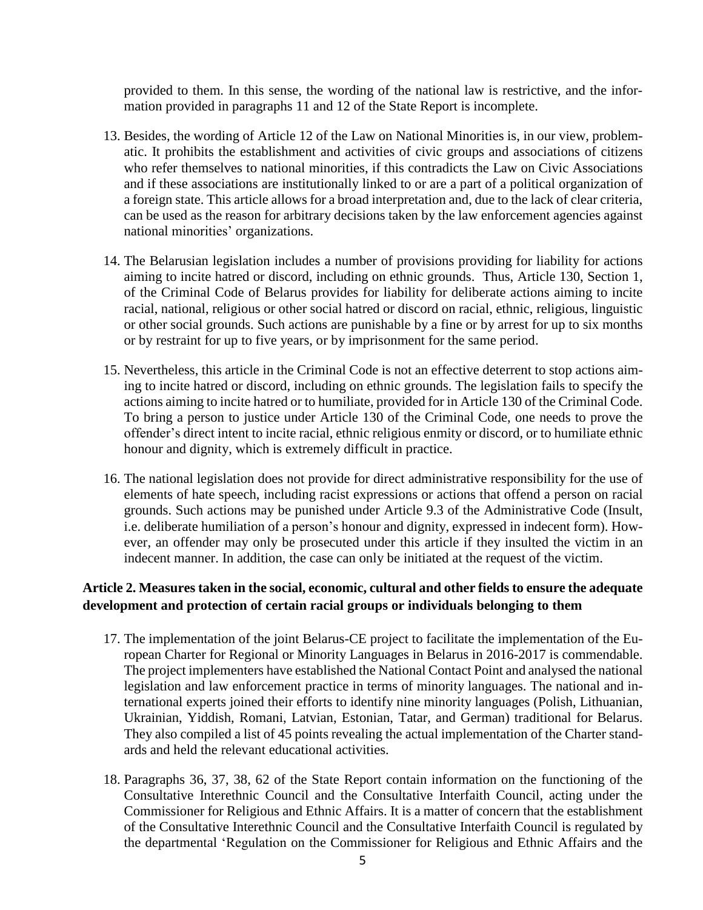provided to them. In this sense, the wording of the national law is restrictive, and the information provided in paragraphs 11 and 12 of the State Report is incomplete.

- 13. Besides, the wording of Article 12 of the Law on National Minorities is, in our view, problematic. It prohibits the establishment and activities of civic groups and associations of citizens who refer themselves to national minorities, if this contradicts the Law on Civic Associations and if these associations are institutionally linked to or are a part of a political organization of a foreign state. This article allows for a broad interpretation and, due to the lack of clear criteria, can be used as the reason for arbitrary decisions taken by the law enforcement agencies against national minorities' organizations.
- 14. The Belarusian legislation includes a number of provisions providing for liability for actions aiming to incite hatred or discord, including on ethnic grounds. Thus, Article 130, Section 1, of the Criminal Code of Belarus provides for liability for deliberate actions aiming to incite racial, national, religious or other social hatred or discord on racial, ethnic, religious, linguistic or other social grounds. Such actions are punishable by a fine or by arrest for up to six months or by restraint for up to five years, or by imprisonment for the same period.
- 15. Nevertheless, this article in the Criminal Code is not an effective deterrent to stop actions aiming to incite hatred or discord, including on ethnic grounds. The legislation fails to specify the actions aiming to incite hatred or to humiliate, provided for in Article 130 of the Criminal Code. To bring a person to justice under Article 130 of the Criminal Code, one needs to prove the offender's direct intent to incite racial, ethnic religious enmity or discord, or to humiliate ethnic honour and dignity, which is extremely difficult in practice.
- 16. The national legislation does not provide for direct administrative responsibility for the use of elements of hate speech, including racist expressions or actions that offend a person on racial grounds. Such actions may be punished under Article 9.3 of the Administrative Code (Insult, i.e. deliberate humiliation of a person's honour and dignity, expressed in indecent form). However, an offender may only be prosecuted under this article if they insulted the victim in an indecent manner. In addition, the case can only be initiated at the request of the victim.

### **Article 2. Measures taken in the social, economic, cultural and other fields to ensure the adequate development and protection of certain racial groups or individuals belonging to them**

- 17. The implementation of the joint Belarus-CE project to facilitate the implementation of the European Charter for Regional or Minority Languages in Belarus in 2016-2017 is commendable. The project implementers have established the National Contact Point and analysed the national legislation and law enforcement practice in terms of minority languages. The national and international experts joined their efforts to identify nine minority languages (Polish, Lithuanian, Ukrainian, Yiddish, Romani, Latvian, Estonian, Tatar, and German) traditional for Belarus. They also compiled a list of 45 points revealing the actual implementation of the Charter standards and held the relevant educational activities.
- 18. Paragraphs 36, 37, 38, 62 of the State Report contain information on the functioning of the Consultative Interethnic Council and the Consultative Interfaith Council, acting under the Commissioner for Religious and Ethnic Affairs. It is a matter of concern that the establishment of the Consultative Interethnic Council and the Consultative Interfaith Council is regulated by the departmental 'Regulation on the Commissioner for Religious and Ethnic Affairs and the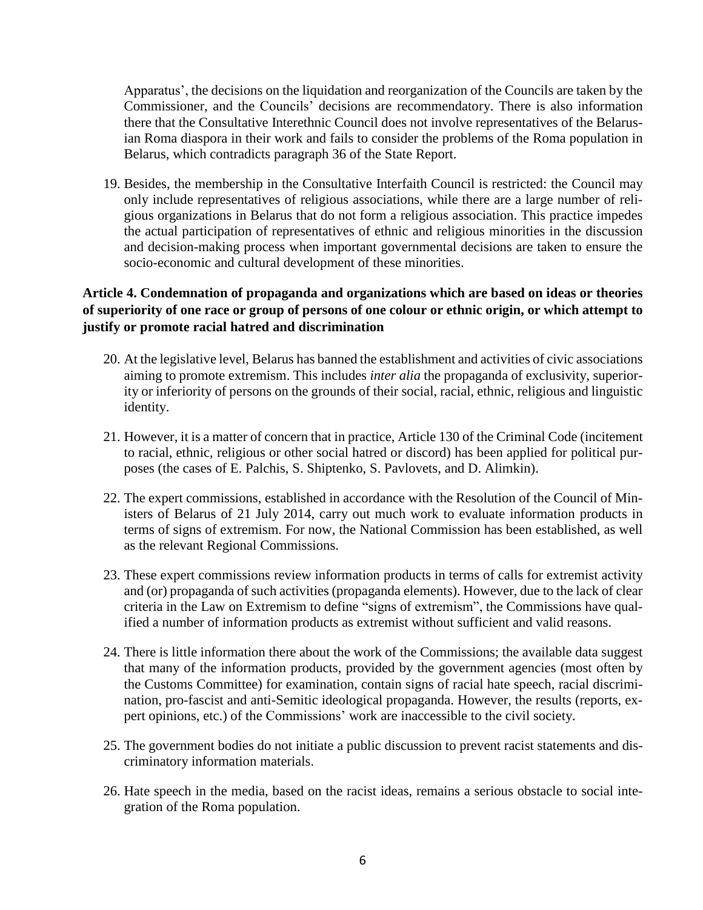Apparatus', the decisions on the liquidation and reorganization of the Councils are taken by the Commissioner, and the Councils' decisions are recommendatory. There is also information there that the Consultative Interethnic Council does not involve representatives of the Belarusian Roma diaspora in their work and fails to consider the problems of the Roma population in Belarus, which contradicts paragraph 36 of the State Report.

19. Besides, the membership in the Consultative Interfaith Council is restricted: the Council may only include representatives of religious associations, while there are a large number of religious organizations in Belarus that do not form a religious association. This practice impedes the actual participation of representatives of ethnic and religious minorities in the discussion and decision-making process when important governmental decisions are taken to ensure the socio-economic and cultural development of these minorities.

# **Article 4. Condemnation of propaganda and organizations which are based on ideas or theories** of superiority of one race or group of persons of one colour or ethnic origin, or which attempt to **justify or promote racial hatred and discrimination**

- 20. At the legislative level, Belarus has banned the establishment and activities of civic associations aiming to promote extremism. This includes *inter alia* the propaganda of exclusivity, superiority or inferiority of persons on the grounds of their social, racial, ethnic, religious and linguistic identity.
- 21. However, it is a matter of concern that in practice, Article 130 of the Criminal Code (incitement to racial, ethnic, religious or other social hatred or discord) has been applied for political purposes (the cases of E. Palchis, S. Shiptenko, S. Pavlovets, and D. Alimkin).
- 22. The expert commissions, established in accordance with the Resolution of the Council of Ministers of Belarus of 21 July 2014, carry out much work to evaluate information products in terms of signs of extremism. For now, the National Commission has been established, as well as the relevant Regional Commissions.
- 23. These expert commissions review information products in terms of calls for extremist activity and (or) propaganda of such activities (propaganda elements). However, due to the lack of clear criteria in the Law on Extremism to define "signs of extremism", the Commissions have qualified a number of information products as extremist without sufficient and valid reasons.
- 24. There is little information there about the work of the Commissions; the available data suggest that many of the information products, provided by the government agencies (most often by the Customs Committee) for examination, contain signs of racial hate speech, racial discrimination, pro-fascist and anti-Semitic ideological propaganda. However, the results (reports, expert opinions, etc.) of the Commissions' work are inaccessible to the civil society.
- 25. The government bodies do not initiate a public discussion to prevent racist statements and discriminatory information materials.
- 26. Hate speech in the media, based on the racist ideas, remains a serious obstacle to social integration of the Roma population.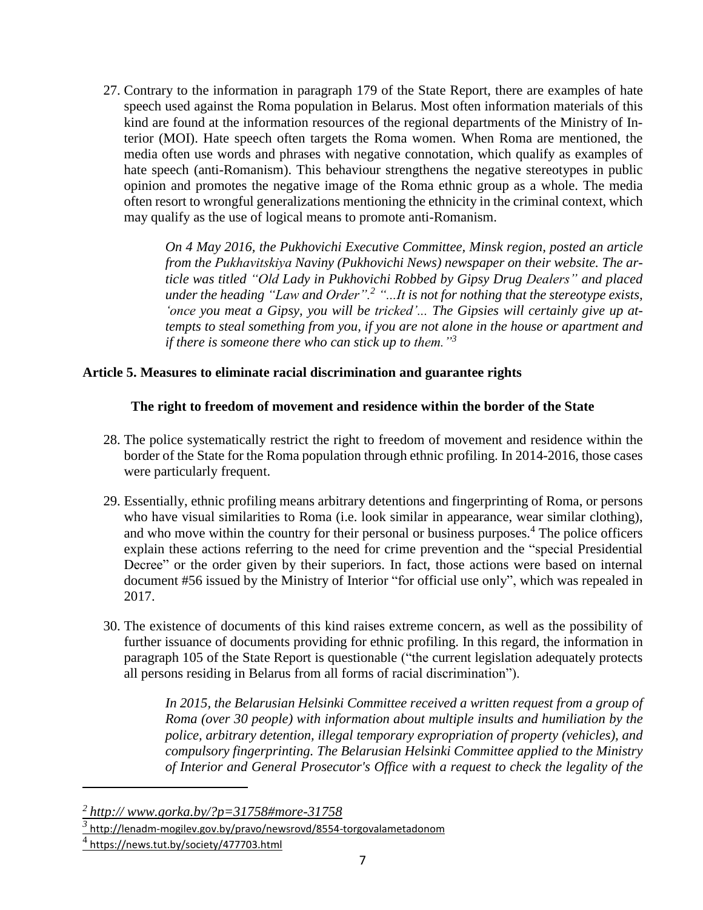27. Contrary to the information in paragraph 179 of the State Report, there are examples of hate speech used against the Roma population in Belarus. Most often information materials of this kind are found at the information resources of the regional departments of the Ministry of Interior (MOI). Hate speech often targets the Roma women. When Roma are mentioned, the media often use words and phrases with negative connotation, which qualify as examples of hate speech (anti-Romanism). This behaviour strengthens the negative stereotypes in public opinion and promotes the negative image of the Roma ethnic group as a whole. The media often resort to wrongful generalizations mentioning the ethnicity in the criminal context, which may qualify as the use of logical means to promote anti-Romanism.

> *On 4 May 2016, the Pukhovichi Executive Committee, Minsk region, posted an article from the Pukhavіtskіya Naviny (Pukhovichi News) newspaper on their website. The article was titled "Old Lady in Pukhovichi Robbed by Gipsy Drug Dealers" and placed under the heading "Law and Order".<sup>2</sup> "...It is not for nothing that the stereotype exists, 'once you meat a Gipsy, you will be tricked'... The Gipsies will certainly give up attempts to steal something from you, if you are not alone in the house or apartment and if there is someone there who can stick up to them."<sup>3</sup>*

### **Article 5. Measures to eliminate racial discrimination and guarantee rights**

### **The right to freedom of movement and residence within the border of the State**

- 28. The police systematically restrict the right to freedom of movement and residence within the border of the State for the Roma population through ethnic profiling. In 2014-2016, those cases were particularly frequent.
- 29. Essentially, ethnic profiling means arbitrary detentions and fingerprinting of Roma, or persons who have visual similarities to Roma (i.e. look similar in appearance, wear similar clothing), and who move within the country for their personal or business purposes.<sup>4</sup> The police officers explain these actions referring to the need for crime prevention and the "special Presidential Decree" or the order given by their superiors. In fact, those actions were based on internal document #56 issued by the Ministry of Interior "for official use only", which was repealed in 2017.
- 30. The existence of documents of this kind raises extreme concern, as well as the possibility of further issuance of documents providing for ethnic profiling. In this regard, the information in paragraph 105 of the State Report is questionable ("the current legislation adequately protects all persons residing in Belarus from all forms of racial discrimination").

*In 2015, the Belarusian Helsinki Committee received a written request from a group of Roma (over 30 people) with information about multiple insults and humiliation by the police, arbitrary detention, illegal temporary expropriation of property (vehicles), and compulsory fingerprinting. The Belarusian Helsinki Committee applied to the Ministry of Interior and General Prosecutor's Office with a request to check the legality of the*

 $\overline{a}$ 

*<sup>2</sup> http:// www.gorka.by/?p=31758#more-31758*

*<sup>3</sup>* http://lenadm-mogilev.gov.by/pravo/newsrovd/8554-torgovalametadonom

<sup>&</sup>lt;sup>4</sup> https://news.tut.by/society/477703.html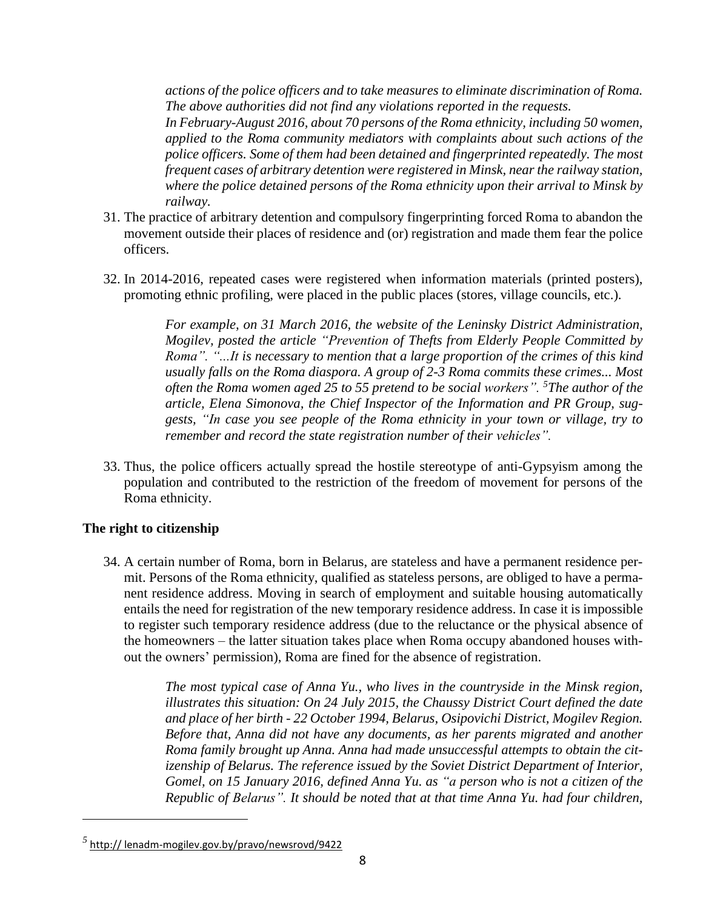*actions of the police officers and to take measures to eliminate discrimination of Roma. The above authorities did not find any violations reported in the requests.*

*In February-August 2016, about 70 persons of the Roma ethnicity, including 50 women, applied to the Roma community mediators with complaints about such actions of the police officers. Some of them had been detained and fingerprinted repeatedly. The most frequent cases of arbitrary detention were registered in Minsk, near the railway station, where the police detained persons of the Roma ethnicity upon their arrival to Minsk by railway.*

- 31. The practice of arbitrary detention and compulsory fingerprinting forced Roma to abandon the movement outside their places of residence and (or) registration and made them fear the police officers.
- 32. In 2014-2016, repeated cases were registered when information materials (printed posters), promoting ethnic profiling, were placed in the public places (stores, village councils, etc.).

*For example, on 31 March 2016, the website of the Leninsky District Administration, Mogilev, posted the article "Prevention of Thefts from Elderly People Committed by Roma". "...It is necessary to mention that a large proportion of the crimes of this kind usually falls on the Roma diaspora. A group of 2-3 Roma commits these crimes... Most often the Roma women aged 25 to 55 pretend to be social workers". <sup>5</sup>The author of the article, Elena Simonova, the Chief Inspector of the Information and PR Group, suggests, "In case you see people of the Roma ethnicity in your town or village, try to remember and record the state registration number of their vehicles".*

33. Thus, the police officers actually spread the hostile stereotype of anti-Gypsyism among the population and contributed to the restriction of the freedom of movement for persons of the Roma ethnicity.

#### **The right to citizenship**

 $\overline{a}$ 

34. A certain number of Roma, born in Belarus, are stateless and have a permanent residence permit. Persons of the Roma ethnicity, qualified as stateless persons, are obliged to have a permanent residence address. Moving in search of employment and suitable housing automatically entails the need for registration of the new temporary residence address. In case it is impossible to register such temporary residence address (due to the reluctance or the physical absence of the homeowners – the latter situation takes place when Roma occupy abandoned houses without the owners' permission), Roma are fined for the absence of registration.

> *The most typical case of Anna Yu., who lives in the countryside in the Minsk region, illustrates this situation: On 24 July 2015, the Chaussy District Court defined the date and place of her birth - 22 October 1994, Belarus, Osipovichi District, Mogilev Region. Before that, Anna did not have any documents, as her parents migrated and another Roma family brought up Anna. Anna had made unsuccessful attempts to obtain the citizenship of Belarus. The reference issued by the Soviet District Department of Interior, Gomel, on 15 January 2016, defined Anna Yu. as "a person who is not a citizen of the Republic of Belarus". It should be noted that at that time Anna Yu. had four children,*

*<sup>5</sup>* http:// lenadm-mogilev.gov.by/pravo/newsrovd/9422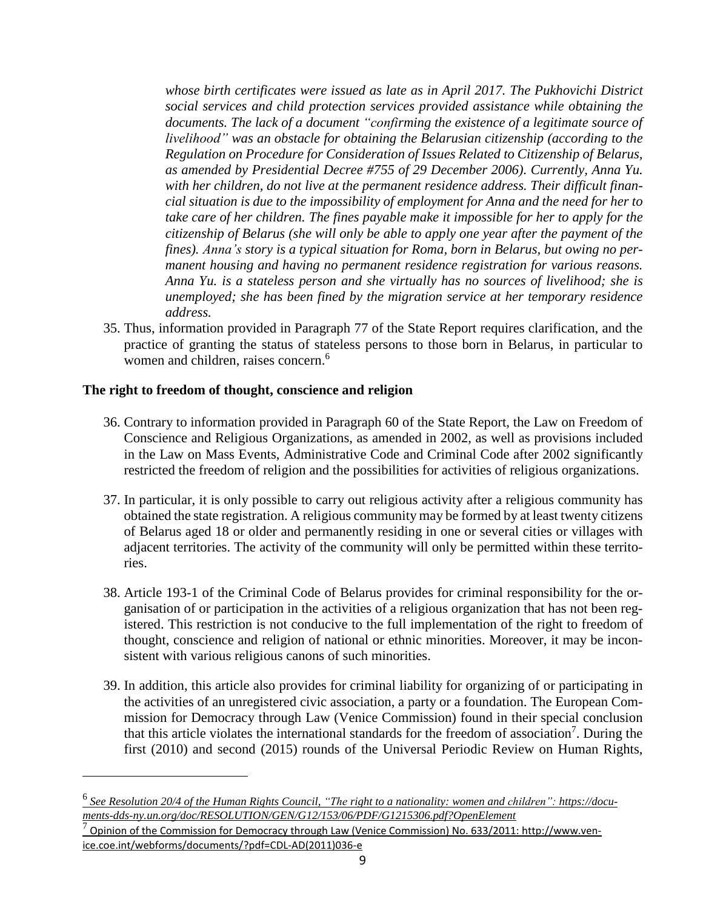*whose birth certificates were issued as late as in April 2017. The Pukhovichi District social services and child protection services provided assistance while obtaining the documents. The lack of a document "confirming the existence of a legitimate source of livelihood" was an obstacle for obtaining the Belarusian citizenship (according to the Regulation on Procedure for Consideration of Issues Related to Citizenship of Belarus, as amended by Presidential Decree #755 of 29 December 2006). Currently, Anna Yu. with her children, do not live at the permanent residence address. Their difficult financial situation is due to the impossibility of employment for Anna and the need for her to take care of her children. The fines payable make it impossible for her to apply for the citizenship of Belarus (she will only be able to apply one year after the payment of the fines). Anna's story is a typical situation for Roma, born in Belarus, but owing no permanent housing and having no permanent residence registration for various reasons. Anna Yu. is a stateless person and she virtually has no sources of livelihood; she is unemployed; she has been fined by the migration service at her temporary residence address.*

35. Thus, information provided in Paragraph 77 of the State Report requires clarification, and the practice of granting the status of stateless persons to those born in Belarus, in particular to women and children, raises concern.<sup>6</sup>

### **The right to freedom of thought, conscience and religion**

- 36. Contrary to information provided in Paragraph 60 of the State Report, the Law on Freedom of Conscience and Religious Organizations, as amended in 2002, as well as provisions included in the Law on Mass Events, Administrative Code and Criminal Code after 2002 significantly restricted the freedom of religion and the possibilities for activities of religious organizations.
- 37. In particular, it is only possible to carry out religious activity after a religious community has obtained the state registration. A religious community may be formed by at least twenty citizens of Belarus aged 18 or older and permanently residing in one or several cities or villages with adjacent territories. The activity of the community will only be permitted within these territories.
- 38. Article 193-1 of the Criminal Code of Belarus provides for criminal responsibility for the organisation of or participation in the activities of a religious organization that has not been registered. This restriction is not conducive to the full implementation of the right to freedom of thought, conscience and religion of national or ethnic minorities. Moreover, it may be inconsistent with various religious canons of such minorities.
- 39. In addition, this article also provides for criminal liability for organizing of or participating in the activities of an unregistered civic association, a party or a foundation. The European Commission for Democracy through Law (Venice Commission) found in their special conclusion that this article violates the international standards for the freedom of association<sup>7</sup>. During the first (2010) and second (2015) rounds of the Universal Periodic Review on Human Rights,

 $^6$  See Resolution 20/4 of the Human Rights Council, "The right to a nationality: women and children": https://docu*ments-dds-ny.un.org/doc/RESOLUTION/GEN/G12/153/06/PDF/G1215306.pdf?OpenElement*

 $^7$  Opinion of the Commission for Democracy through Law (Venice Commission) No. 633/2011: [http://www.ven](http://www.venice.coe.int/webforms/documents/?pdf=CDL-AD(2011)036-e)[ice.coe.int/webforms/documents/?pdf=CDL-AD\(2011\)036-e](http://www.venice.coe.int/webforms/documents/?pdf=CDL-AD(2011)036-e)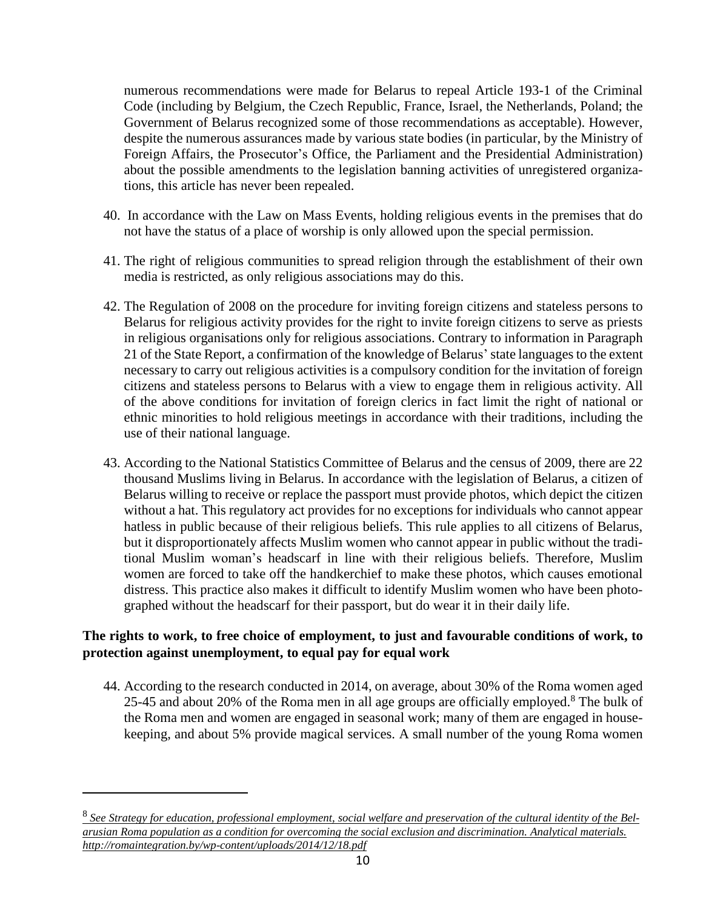numerous recommendations were made for Belarus to repeal Article 193-1 of the Criminal Code (including by Belgium, the Czech Republic, France, Israel, the Netherlands, Poland; the Government of Belarus recognized some of those recommendations as acceptable). However, despite the numerous assurances made by various state bodies (in particular, by the Ministry of Foreign Affairs, the Prosecutor's Office, the Parliament and the Presidential Administration) about the possible amendments to the legislation banning activities of unregistered organizations, this article has never been repealed.

- 40. In accordance with the Law on Mass Events, holding religious events in the premises that do not have the status of a place of worship is only allowed upon the special permission.
- 41. The right of religious communities to spread religion through the establishment of their own media is restricted, as only religious associations may do this.
- 42. The Regulation of 2008 on the procedure for inviting foreign citizens and stateless persons to Belarus for religious activity provides for the right to invite foreign citizens to serve as priests in religious organisations only for religious associations. Contrary to information in Paragraph 21 of the State Report, a confirmation of the knowledge of Belarus'state languages to the extent necessary to carry out religious activities is a compulsory condition for the invitation of foreign citizens and stateless persons to Belarus with a view to engage them in religious activity. All of the above conditions for invitation of foreign clerics in fact limit the right of national or ethnic minorities to hold religious meetings in accordance with their traditions, including the use of their national language.
- 43. According to the National Statistics Committee of Belarus and the census of 2009, there are 22 thousand Muslims living in Belarus. In accordance with the legislation of Belarus, a citizen of Belarus willing to receive or replace the passport must provide photos, which depict the citizen without a hat. This regulatory act provides for no exceptions for individuals who cannot appear hatless in public because of their religious beliefs. This rule applies to all citizens of Belarus, but it disproportionately affects Muslim women who cannot appear in public without the traditional Muslim woman's headscarf in line with their religious beliefs. Therefore, Muslim women are forced to take off the handkerchief to make these photos, which causes emotional distress. This practice also makes it difficult to identify Muslim women who have been photographed without the headscarf for their passport, but do wear it in their daily life.

# **The rights to work, to free choice of employment, to just and favourable conditions of work, to protection against unemployment, to equal pay for equal work**

44. According to the research conducted in 2014, on average, about 30% of the Roma women aged 25-45 and about 20% of the Roma men in all age groups are officially employed.<sup>8</sup> The bulk of the Roma men and women are engaged in seasonal work; many of them are engaged in housekeeping, and about 5% provide magical services. A small number of the young Roma women

 $\overline{a}$ 

 $8$  See Strategy for education, professional employment, social welfare and preservation of the cultural identity of the Bel*arusian Roma population as a condition for overcoming the social exclusion and discrimination. Analytical materials. http://romaintegration.by/wp-content/uploads/2014/12/18.pdf*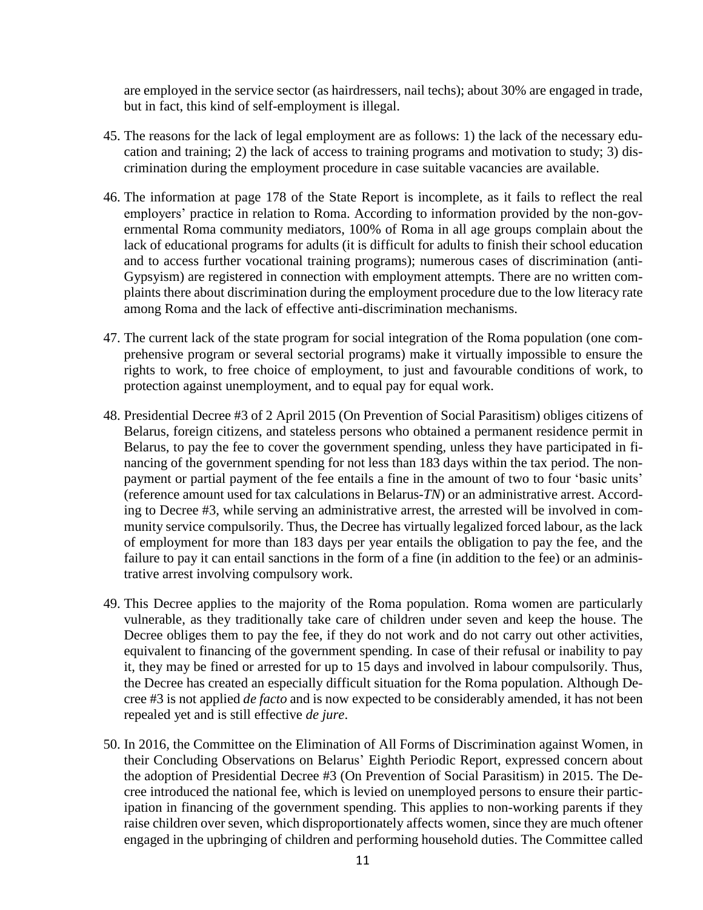are employed in the service sector (as hairdressers, nail techs); about 30% are engaged in trade, but in fact, this kind of self-employment is illegal.

- 45. The reasons for the lack of legal employment are as follows: 1) the lack of the necessary education and training; 2) the lack of access to training programs and motivation to study; 3) discrimination during the employment procedure in case suitable vacancies are available.
- 46. The information at page 178 of the State Report is incomplete, as it fails to reflect the real employers' practice in relation to Roma. According to information provided by the non-governmental Roma community mediators, 100% of Roma in all age groups complain about the lack of educational programs for adults (it is difficult for adults to finish their school education and to access further vocational training programs); numerous cases of discrimination (anti-Gypsyism) are registered in connection with employment attempts. There are no written complaints there about discrimination during the employment procedure due to the low literacy rate among Roma and the lack of effective anti-discrimination mechanisms.
- 47. The current lack of the state program for social integration of the Roma population (one comprehensive program or several sectorial programs) make it virtually impossible to ensure the rights to work, to free choice of employment, to just and favourable conditions of work, to protection against unemployment, and to equal pay for equal work.
- 48. Presidential Decree #3 of 2 April 2015 (On Prevention of Social Parasitism) obliges citizens of Belarus, foreign citizens, and stateless persons who obtained a permanent residence permit in Belarus, to pay the fee to cover the government spending, unless they have participated in financing of the government spending for not less than 183 days within the tax period. The nonpayment or partial payment of the fee entails a fine in the amount of two to four 'basic units' (reference amount used for tax calculations in Belarus-*TN*) or an administrative arrest. According to Decree #3, while serving an administrative arrest, the arrested will be involved in community service compulsorily. Thus, the Decree has virtually legalized forced labour, as the lack of employment for more than 183 days per year entails the obligation to pay the fee, and the failure to pay it can entail sanctions in the form of a fine (in addition to the fee) or an administrative arrest involving compulsory work.
- 49. This Decree applies to the majority of the Roma population. Roma women are particularly vulnerable, as they traditionally take care of children under seven and keep the house. The Decree obliges them to pay the fee, if they do not work and do not carry out other activities, equivalent to financing of the government spending. In case of their refusal or inability to pay it, they may be fined or arrested for up to 15 days and involved in labour compulsorily. Thus, the Decree has created an especially difficult situation for the Roma population. Although Decree #3 is not applied *de facto* and is now expected to be considerably amended, it has not been repealed yet and is still effective *de jure*.
- 50. In 2016, the Committee on the Elimination of All Forms of Discrimination against Women, in their Concluding Observations on Belarus' Eighth Periodic Report, expressed concern about the adoption of Presidential Decree #3 (On Prevention of Social Parasitism) in 2015. The Decree introduced the national fee, which is levied on unemployed persons to ensure their participation in financing of the government spending. This applies to non-working parents if they raise children over seven, which disproportionately affects women, since they are much oftener engaged in the upbringing of children and performing household duties. The Committee called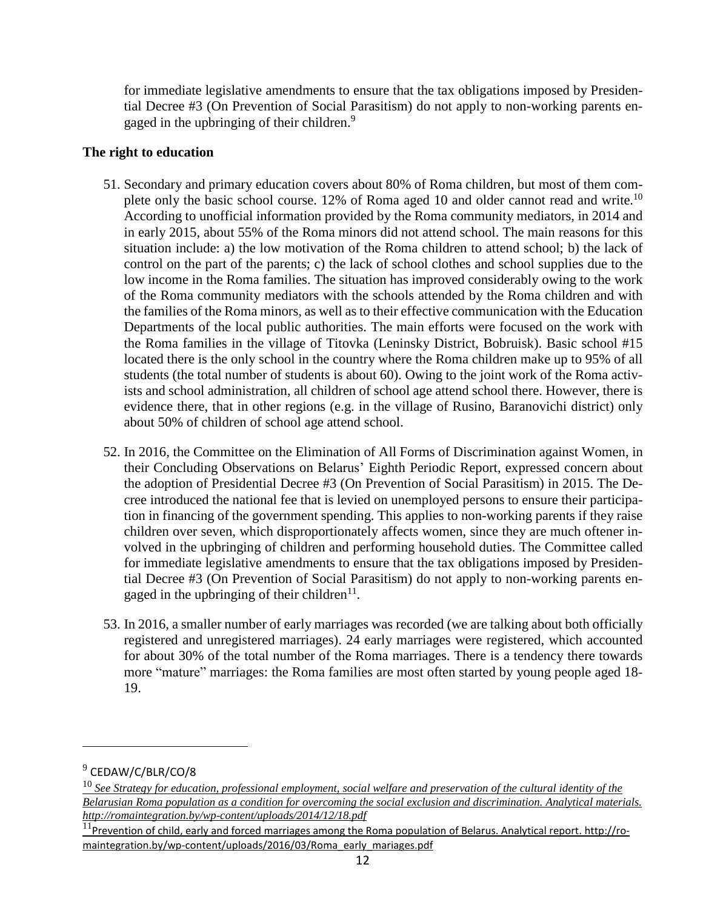for immediate legislative amendments to ensure that the tax obligations imposed by Presidential Decree #3 (On Prevention of Social Parasitism) do not apply to non-working parents engaged in the upbringing of their children.<sup>9</sup>

### **The right to education**

- 51. Secondary and primary education covers about 80% of Roma children, but most of them complete only the basic school course. 12% of Roma aged 10 and older cannot read and write.<sup>10</sup> According to unofficial information provided by the Roma community mediators, in 2014 and in early 2015, about 55% of the Roma minors did not attend school. The main reasons for this situation include: a) the low motivation of the Roma children to attend school; b) the lack of control on the part of the parents; c) the lack of school clothes and school supplies due to the low income in the Roma families. The situation has improved considerably owing to the work of the Roma community mediators with the schools attended by the Roma children and with the families of the Roma minors, as well as to their effective communication with the Education Departments of the local public authorities. The main efforts were focused on the work with the Roma families in the village of Titovka (Leninsky District, Bobruisk). Basic school #15 located there is the only school in the country where the Roma children make up to 95% of all students (the total number of students is about 60). Owing to the joint work of the Roma activists and school administration, all children of school age attend school there. However, there is evidence there, that in other regions (e.g. in the village of Rusino, Baranovichi district) only about 50% of children of school age attend school.
- 52. In 2016, the Committee on the Elimination of All Forms of Discrimination against Women, in their Concluding Observations on Belarus' Eighth Periodic Report, expressed concern about the adoption of Presidential Decree #3 (On Prevention of Social Parasitism) in 2015. The Decree introduced the national fee that is levied on unemployed persons to ensure their participation in financing of the government spending. This applies to non-working parents if they raise children over seven, which disproportionately affects women, since they are much oftener involved in the upbringing of children and performing household duties. The Committee called for immediate legislative amendments to ensure that the tax obligations imposed by Presidential Decree #3 (On Prevention of Social Parasitism) do not apply to non-working parents engaged in the upbringing of their children $11$ .
- 53. In 2016, a smaller number of early marriages was recorded (we are talking about both officially registered and unregistered marriages). 24 early marriages were registered, which accounted for about 30% of the total number of the Roma marriages. There is a tendency there towards more "mature" marriages: the Roma families are most often started by young people aged 18- 19.

<sup>&</sup>lt;sup>9</sup> CEDAW/C/BLR/CO/8

 $^{10}$  See Strategy for education, professional employment, social welfare and preservation of the cultural identity of the *Belarusian Roma population as a condition for overcoming the social exclusion and discrimination. Analytical materials. http://romaintegration.by/wp-content/uploads/2014/12/18.pdf*

 $11$ Prevention of child, early and forced marriages among the Roma population of Belarus. Analytical report. [http://ro](http://romaintegration.by/wp-content/uploads/2016/03/Roma_early_mariages.pdf)[maintegration.by/wp-content/uploads/2016/03/Roma\\_early\\_mariages.pdf](http://romaintegration.by/wp-content/uploads/2016/03/Roma_early_mariages.pdf)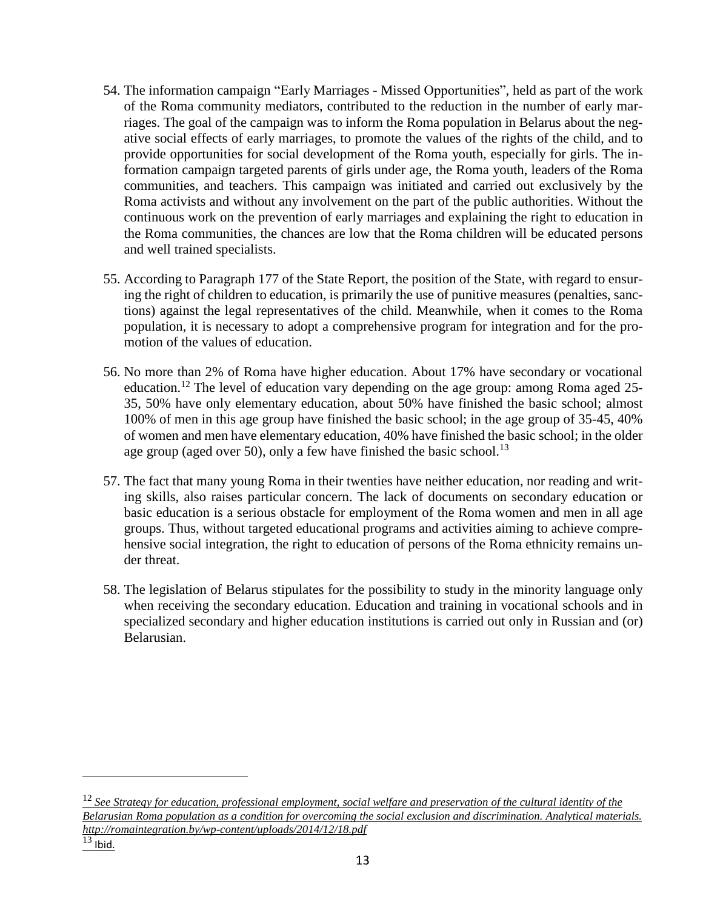- 54. The information campaign "Early Marriages Missed Opportunities", held as part of the work of the Roma community mediators, contributed to the reduction in the number of early marriages. The goal of the campaign was to inform the Roma population in Belarus about the negative social effects of early marriages, to promote the values of the rights of the child, and to provide opportunities for social development of the Roma youth, especially for girls. The information campaign targeted parents of girls under age, the Roma youth, leaders of the Roma communities, and teachers. This campaign was initiated and carried out exclusively by the Roma activists and without any involvement on the part of the public authorities. Without the continuous work on the prevention of early marriages and explaining the right to education in the Roma communities, the chances are low that the Roma children will be educated persons and well trained specialists.
- 55. According to Paragraph 177 of the State Report, the position of the State, with regard to ensuring the right of children to education, is primarily the use of punitive measures (penalties, sanctions) against the legal representatives of the child. Meanwhile, when it comes to the Roma population, it is necessary to adopt a comprehensive program for integration and for the promotion of the values of education.
- 56. No more than 2% of Roma have higher education. About 17% have secondary or vocational education.<sup>12</sup> The level of education vary depending on the age group: among Roma aged 25-35, 50% have only elementary education, about 50% have finished the basic school; almost 100% of men in this age group have finished the basic school; in the age group of 35-45, 40% of women and men have elementary education, 40% have finished the basic school; in the older age group (aged over 50), only a few have finished the basic school.<sup>13</sup>
- 57. The fact that many young Roma in their twenties have neither education, nor reading and writing skills, also raises particular concern. The lack of documents on secondary education or basic education is a serious obstacle for employment of the Roma women and men in all age groups. Thus, without targeted educational programs and activities aiming to achieve comprehensive social integration, the right to education of persons of the Roma ethnicity remains under threat.
- 58. The legislation of Belarus stipulates for the possibility to study in the minority language only when receiving the secondary education. Education and training in vocational schools and in specialized secondary and higher education institutions is carried out only in Russian and (or) Belarusian.

 $\frac{12}{12}$  See Strategy for education, professional employment, social welfare and preservation of the cultural identity of the *Belarusian Roma population as a condition for overcoming the social exclusion and discrimination. Analytical materials. http://romaintegration.by/wp-content/uploads/2014/12/18.pdf*

 $13$  Ibid.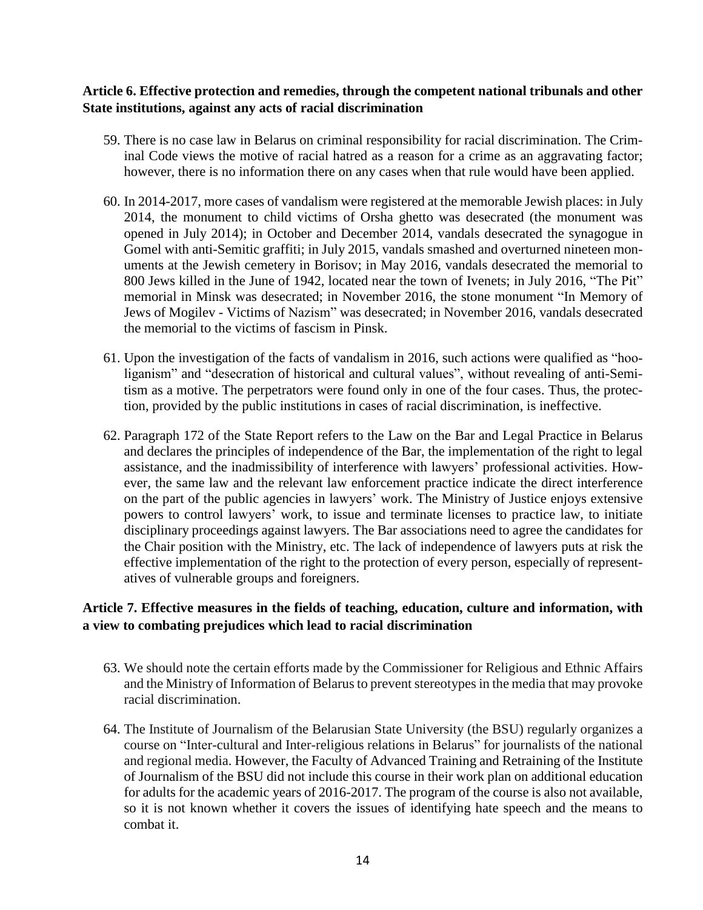### **Article 6. Effective protection and remedies, through the competent national tribunals and other State institutions, against any acts of racial discrimination**

- 59. There is no case law in Belarus on criminal responsibility for racial discrimination. The Criminal Code views the motive of racial hatred as a reason for a crime as an aggravating factor; however, there is no information there on any cases when that rule would have been applied.
- 60. In 2014-2017, more cases of vandalism were registered at the memorable Jewish places: in July 2014, the monument to child victims of Orsha ghetto was desecrated (the monument was opened in July 2014); in October and December 2014, vandals desecrated the synagogue in Gomel with anti-Semitic graffiti; in July 2015, vandals smashed and overturned nineteen monuments at the Jewish cemetery in Borisov; in May 2016, vandals desecrated the memorial to 800 Jews killed in the June of 1942, located near the town of Ivenets; in July 2016, "The Pit" memorial in Minsk was desecrated; in November 2016, the stone monument "In Memory of Jews of Mogilev - Victims of Nazism" was desecrated; in November 2016, vandals desecrated the memorial to the victims of fascism in Pinsk.
- 61. Upon the investigation of the facts of vandalism in 2016, such actions were qualified as "hooliganism" and "desecration of historical and cultural values", without revealing of anti-Semitism as a motive. The perpetrators were found only in one of the four cases. Thus, the protection, provided by the public institutions in cases of racial discrimination, is ineffective.
- 62. Paragraph 172 of the State Report refers to the Law on the Bar and Legal Practice in Belarus and declares the principles of independence of the Bar, the implementation of the right to legal assistance, and the inadmissibility of interference with lawyers' professional activities. However, the same law and the relevant law enforcement practice indicate the direct interference on the part of the public agencies in lawyers' work. The Ministry of Justice enjoys extensive powers to control lawyers' work, to issue and terminate licenses to practice law, to initiate disciplinary proceedings against lawyers. The Bar associations need to agree the candidates for the Chair position with the Ministry, etc. The lack of independence of lawyers puts at risk the effective implementation of the right to the protection of every person, especially of representatives of vulnerable groups and foreigners.

### **Article 7. Effective measures in the fields of teaching, education, culture and information, with a view to combating prejudices which lead to racial discrimination**

- 63. We should note the certain efforts made by the Commissioner for Religious and Ethnic Affairs and the Ministry of Information of Belarus to prevent stereotypes in the media that may provoke racial discrimination.
- 64. The Institute of Journalism of the Belarusian State University (the BSU) regularly organizes a course on "Inter-cultural and Inter-religious relations in Belarus" for journalists of the national and regional media. However, the Faculty of Advanced Training and Retraining of the Institute of Journalism of the BSU did not include this course in their work plan on additional education for adults for the academic years of 2016-2017. The program of the course is also not available, so it is not known whether it covers the issues of identifying hate speech and the means to combat it.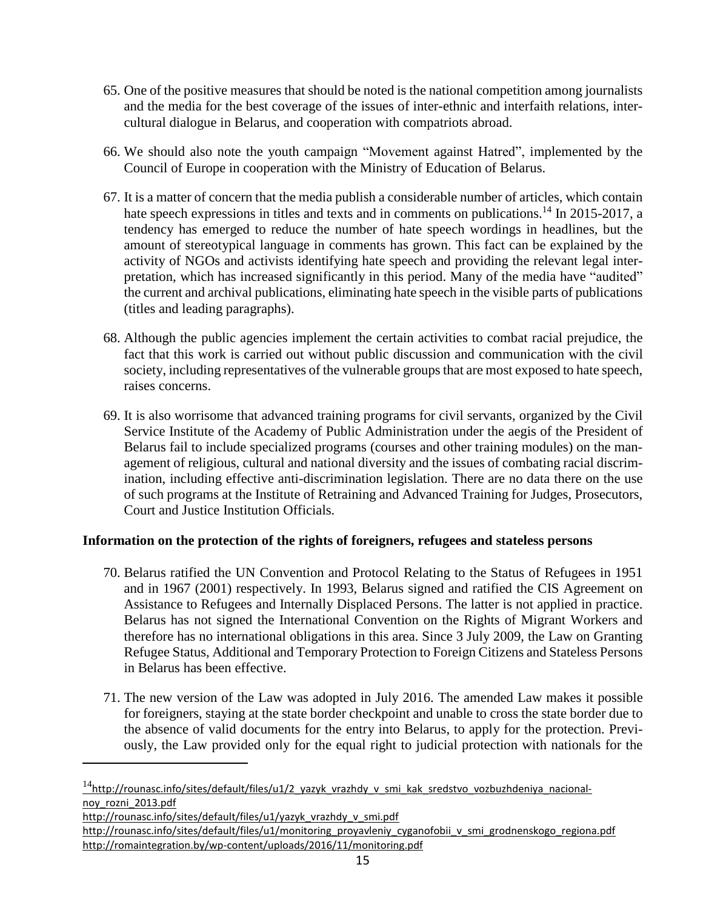- 65. One of the positive measures that should be noted is the national competition among journalists and the media for the best coverage of the issues of inter-ethnic and interfaith relations, intercultural dialogue in Belarus, and cooperation with compatriots abroad.
- 66. We should also note the youth campaign "Movement against Hatred", implemented by the Council of Europe in cooperation with the Ministry of Education of Belarus.
- 67. It is a matter of concern that the media publish a considerable number of articles, which contain hate speech expressions in titles and texts and in comments on publications.<sup>14</sup> In 2015-2017, a tendency has emerged to reduce the number of hate speech wordings in headlines, but the amount of stereotypical language in comments has grown. This fact can be explained by the activity of NGOs and activists identifying hate speech and providing the relevant legal interpretation, which has increased significantly in this period. Many of the media have "audited" the current and archival publications, eliminating hate speech in the visible parts of publications (titles and leading paragraphs).
- 68. Although the public agencies implement the certain activities to combat racial prejudice, the fact that this work is carried out without public discussion and communication with the civil society, including representatives of the vulnerable groups that are most exposed to hate speech, raises concerns.
- 69. It is also worrisome that advanced training programs for civil servants, organized by the Civil Service Institute of the Academy of Public Administration under the aegis of the President of Belarus fail to include specialized programs (courses and other training modules) on the management of religious, cultural and national diversity and the issues of combating racial discrimination, including effective anti-discrimination legislation. There are no data there on the use of such programs at the Institute of Retraining and Advanced Training for Judges, Prosecutors, Court and Justice Institution Officials.

### **Information on the protection of the rights of foreigners, refugees and stateless persons**

- 70. Belarus ratified the UN Convention and Protocol Relating to the Status of Refugees in 1951 and in 1967 (2001) respectively. In 1993, Belarus signed and ratified the CIS Agreement on Assistance to Refugees and Internally Displaced Persons. The latter is not applied in practice. Belarus has not signed the International Convention on the Rights of Migrant Workers and therefore has no international obligations in this area. Since 3 July 2009, the Law on Granting Refugee Status, Additional and Temporary Protection to Foreign Citizens and Stateless Persons in Belarus has been effective.
- 71. The new version of the Law was adopted in July 2016. The amended Law makes it possible for foreigners, staying at the state border checkpoint and unable to cross the state border due to the absence of valid documents for the entry into Belarus, to apply for the protection. Previously, the Law provided only for the equal right to judicial protection with nationals for the

 $14$ [http://rounasc.info/sites/default/files/u1/2\\_yazyk\\_vrazhdy\\_v\\_smi\\_kak\\_sredstvo\\_vozbuzhdeniya\\_nacional](http://rounasc.info/sites/default/files/u1/2_yazyk_vrazhdy_v_smi_kak_sredstvo_vozbuzhdeniya_nacionalnoy_rozni_2013.pdf)[noy\\_rozni\\_2013.pdf](http://rounasc.info/sites/default/files/u1/2_yazyk_vrazhdy_v_smi_kak_sredstvo_vozbuzhdeniya_nacionalnoy_rozni_2013.pdf)

[http://rounasc.info/sites/default/files/u1/yazyk\\_vrazhdy\\_v\\_smi.pdf](http://rounasc.info/sites/default/files/u1/yazyk_vrazhdy_v_smi.pdf)

[http://rounasc.info/sites/default/files/u1/monitoring\\_proyavleniy\\_cyganofobii\\_v\\_smi\\_grodnenskogo\\_regiona.pdf](http://rounasc.info/sites/default/files/u1/monitoring_proyavleniy_cyganofobii_v_smi_grodnenskogo_regiona.pdf) <http://romaintegration.by/wp-content/uploads/2016/11/monitoring.pdf>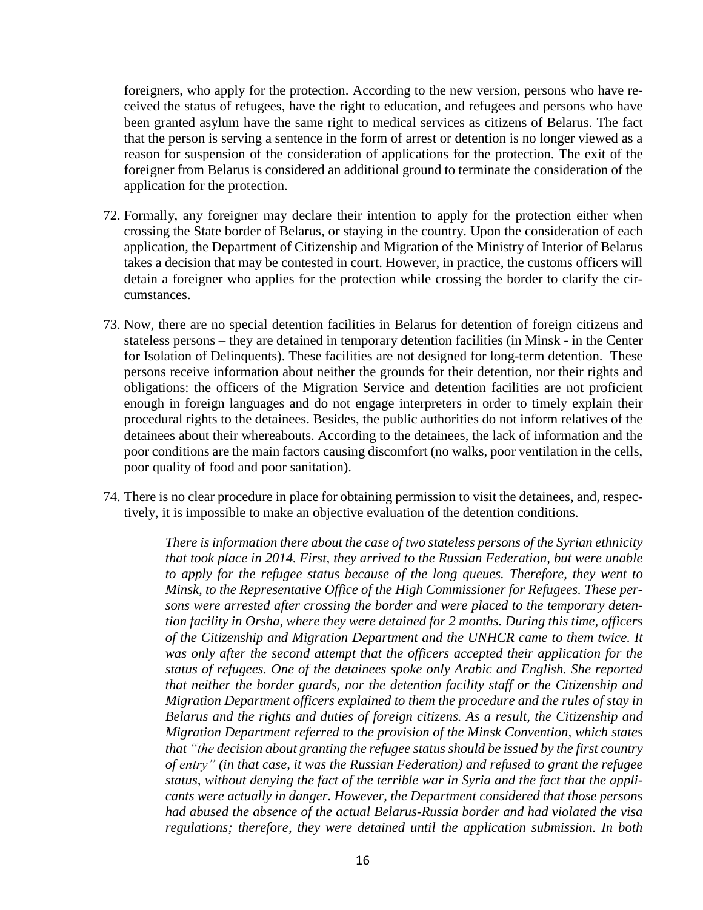foreigners, who apply for the protection. According to the new version, persons who have received the status of refugees, have the right to education, and refugees and persons who have been granted asylum have the same right to medical services as citizens of Belarus. The fact that the person is serving a sentence in the form of arrest or detention is no longer viewed as a reason for suspension of the consideration of applications for the protection. The exit of the foreigner from Belarus is considered an additional ground to terminate the consideration of the application for the protection.

- 72. Formally, any foreigner may declare their intention to apply for the protection either when crossing the State border of Belarus, or staying in the country. Upon the consideration of each application, the Department of Citizenship and Migration of the Ministry of Interior of Belarus takes a decision that may be contested in court. However, in practice, the customs officers will detain a foreigner who applies for the protection while crossing the border to clarify the circumstances.
- 73. Now, there are no special detention facilities in Belarus for detention of foreign citizens and stateless persons – they are detained in temporary detention facilities (in Minsk - in the Center for Isolation of Delinquents). These facilities are not designed for long-term detention. These persons receive information about neither the grounds for their detention, nor their rights and obligations: the officers of the Migration Service and detention facilities are not proficient enough in foreign languages and do not engage interpreters in order to timely explain their procedural rights to the detainees. Besides, the public authorities do not inform relatives of the detainees about their whereabouts. According to the detainees, the lack of information and the poor conditions are the main factors causing discomfort (no walks, poor ventilation in the cells, poor quality of food and poor sanitation).
- 74. There is no clear procedure in place for obtaining permission to visit the detainees, and, respectively, it is impossible to make an objective evaluation of the detention conditions.

*There is information there about the case of two stateless persons of the Syrian ethnicity that took place in 2014. First, they arrived to the Russian Federation, but were unable to apply for the refugee status because of the long queues. Therefore, they went to Minsk, to the Representative Office of the High Commissioner for Refugees. These persons were arrested after crossing the border and were placed to the temporary detention facility in Orsha, where they were detained for 2 months. During this time, officers of the Citizenship and Migration Department and the UNHCR came to them twice. It was only after the second attempt that the officers accepted their application for the status of refugees. One of the detainees spoke only Arabic and English. She reported that neither the border guards, nor the detention facility staff or the Citizenship and Migration Department officers explained to them the procedure and the rules of stay in Belarus and the rights and duties of foreign citizens. As a result, the Citizenship and Migration Department referred to the provision of the Minsk Convention, which states that "the decision about granting the refugee status should be issued by the first country of entry" (in that case, it was the Russian Federation) and refused to grant the refugee status, without denying the fact of the terrible war in Syria and the fact that the applicants were actually in danger. However, the Department considered that those persons had abused the absence of the actual Belarus-Russia border and had violated the visa regulations; therefore, they were detained until the application submission. In both*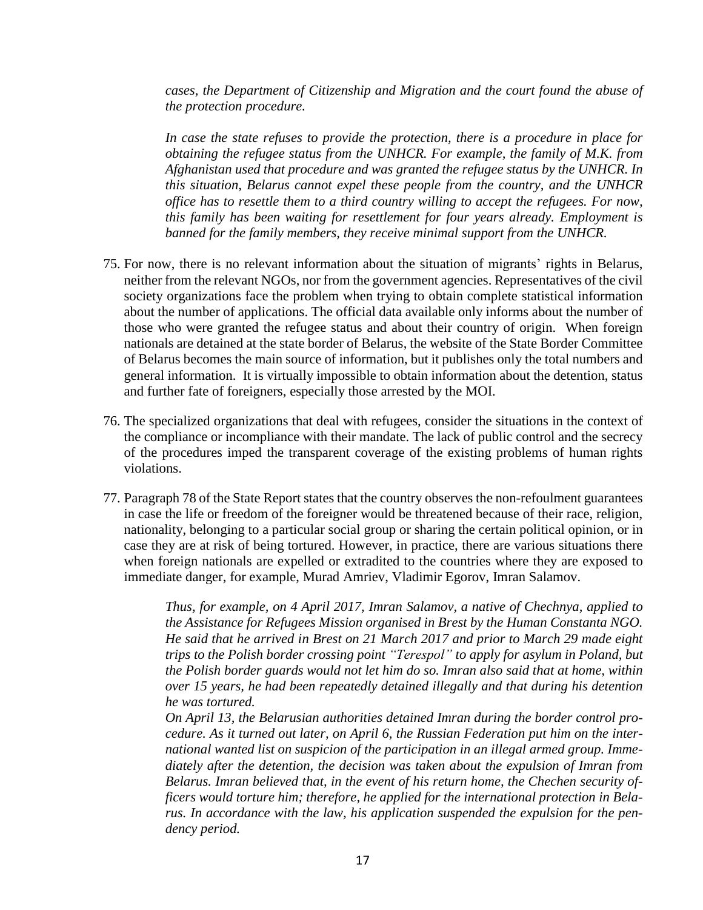*cases, the Department of Citizenship and Migration and the court found the abuse of the protection procedure.*

*In case the state refuses to provide the protection, there is a procedure in place for obtaining the refugee status from the UNHCR. For example, the family of M.K. from Afghanistan used that procedure and was granted the refugee status by the UNHCR. In this situation, Belarus cannot expel these people from the country, and the UNHCR office has to resettle them to a third country willing to accept the refugees. For now, this family has been waiting for resettlement for four years already. Employment is banned for the family members, they receive minimal support from the UNHCR.*

- 75. For now, there is no relevant information about the situation of migrants' rights in Belarus, neither from the relevant NGOs, nor from the government agencies. Representatives of the civil society organizations face the problem when trying to obtain complete statistical information about the number of applications. The official data available only informs about the number of those who were granted the refugee status and about their country of origin. When foreign nationals are detained at the state border of Belarus, the website of the State Border Committee of Belarus becomes the main source of information, but it publishes only the total numbers and general information. It is virtually impossible to obtain information about the detention, status and further fate of foreigners, especially those arrested by the MOI.
- 76. The specialized organizations that deal with refugees, consider the situations in the context of the compliance or incompliance with their mandate. The lack of public control and the secrecy of the procedures imped the transparent coverage of the existing problems of human rights violations.
- 77. Paragraph 78 of the State Report states that the country observes the non-refoulment guarantees in case the life or freedom of the foreigner would be threatened because of their race, religion, nationality, belonging to a particular social group or sharing the certain political opinion, or in case they are at risk of being tortured. However, in practice, there are various situations there when foreign nationals are expelled or extradited to the countries where they are exposed to immediate danger, for example, Murad Amriev, Vladimir Egorov, Imran Salamov.

*Thus, for example, on 4 April 2017, Imran Salamov, a native of Chechnya, applied to the Assistance for Refugees Mission organised in Brest by the Human Constanta NGO. He said that he arrived in Brest on 21 March 2017 and prior to March 29 made eight trips to the Polish border crossing point "Terespol" to apply for asylum in Poland, but the Polish border guards would not let him do so. Imran also said that at home, within over 15 years, he had been repeatedly detained illegally and that during his detention he was tortured.*

*On April 13, the Belarusian authorities detained Imran during the border control procedure. As it turned out later, on April 6, the Russian Federation put him on the international wanted list on suspicion of the participation in an illegal armed group. Immediately after the detention, the decision was taken about the expulsion of Imran from Belarus. Imran believed that, in the event of his return home, the Chechen security officers would torture him; therefore, he applied for the international protection in Belarus. In accordance with the law, his application suspended the expulsion for the pendency period.*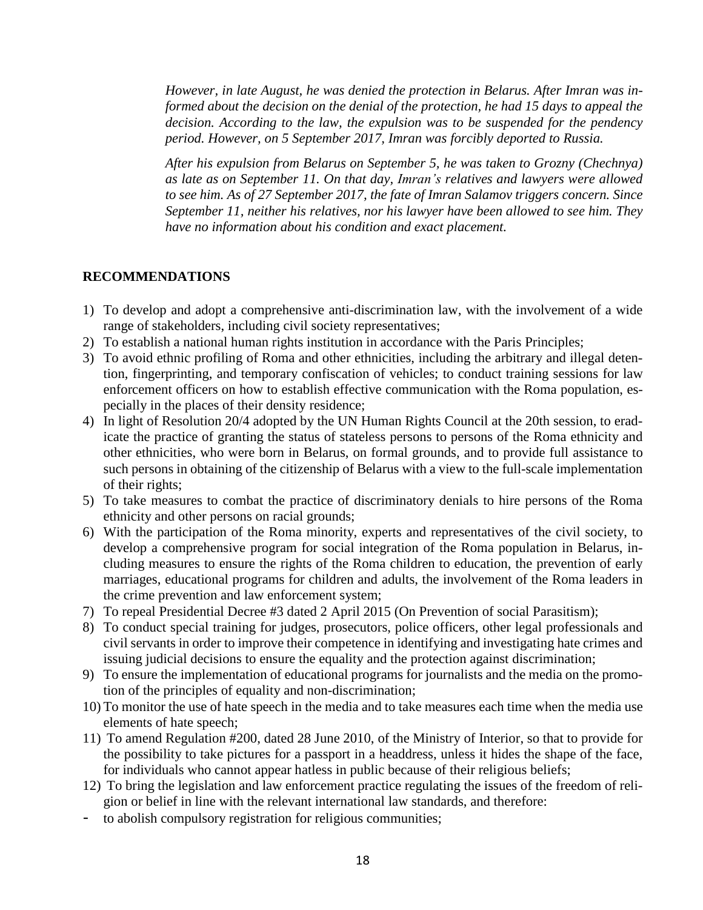*However, in late August, he was denied the protection in Belarus. After Imran was informed about the decision on the denial of the protection, he had 15 days to appeal the decision. According to the law, the expulsion was to be suspended for the pendency period. However, on 5 September 2017, Imran was forcibly deported to Russia.*

*After his expulsion from Belarus on September 5, he was taken to Grozny (Chechnya) as late as on September 11. On that day, Imran's relatives and lawyers were allowed to see him. As of 27 September 2017, the fate of Imran Salamov triggers concern. Since September 11, neither his relatives, nor his lawyer have been allowed to see him. They have no information about his condition and exact placement.*

### **RECOMMENDATIONS**

- 1) To develop and adopt a comprehensive anti-discrimination law, with the involvement of a wide range of stakeholders, including civil society representatives;
- 2) To establish a national human rights institution in accordance with the Paris Principles;
- 3) To avoid ethnic profiling of Roma and other ethnicities, including the arbitrary and illegal detention, fingerprinting, and temporary confiscation of vehicles; to conduct training sessions for law enforcement officers on how to establish effective communication with the Roma population, especially in the places of their density residence;
- 4) In light of Resolution 20/4 adopted by the UN Human Rights Council at the 20th session, to eradicate the practice of granting the status of stateless persons to persons of the Roma ethnicity and other ethnicities, who were born in Belarus, on formal grounds, and to provide full assistance to such persons in obtaining of the citizenship of Belarus with a view to the full-scale implementation of their rights;
- 5) To take measures to combat the practice of discriminatory denials to hire persons of the Roma ethnicity and other persons on racial grounds;
- 6) With the participation of the Roma minority, experts and representatives of the civil society, to develop a comprehensive program for social integration of the Roma population in Belarus, including measures to ensure the rights of the Roma children to education, the prevention of early marriages, educational programs for children and adults, the involvement of the Roma leaders in the crime prevention and law enforcement system;
- 7) To repeal Presidential Decree #3 dated 2 April 2015 (On Prevention of social Parasitism);
- 8) To conduct special training for judges, prosecutors, police officers, other legal professionals and civil servants in order to improve their competence in identifying and investigating hate crimes and issuing judicial decisions to ensure the equality and the protection against discrimination;
- 9) To ensure the implementation of educational programs for journalists and the media on the promotion of the principles of equality and non-discrimination;
- 10) To monitor the use of hate speech in the media and to take measures each time when the media use elements of hate speech;
- 11) To amend Regulation #200, dated 28 June 2010, of the Ministry of Interior, so that to provide for the possibility to take pictures for a passport in a headdress, unless it hides the shape of the face, for individuals who cannot appear hatless in public because of their religious beliefs;
- 12) To bring the legislation and law enforcement practice regulating the issues of the freedom of religion or belief in line with the relevant international law standards, and therefore:
- to abolish compulsory registration for religious communities;